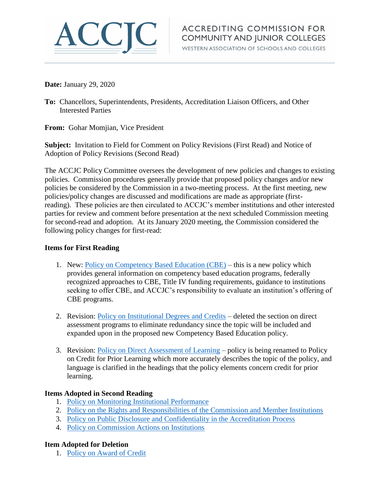

WESTERN ASSOCIATION OF SCHOOLS AND COLLEGES

**Date:** January 29, 2020

**To:** Chancellors, Superintendents, Presidents, Accreditation Liaison Officers, and Other Interested Parties

**From:** Gohar Momjian, Vice President

**Subject:** Invitation to Field for Comment on Policy Revisions (First Read) and Notice of Adoption of Policy Revisions (Second Read)

The ACCJC Policy Committee oversees the development of new policies and changes to existing policies. Commission procedures generally provide that proposed policy changes and/or new policies be considered by the Commission in a two-meeting process. At the first meeting, new policies/policy changes are discussed and modifications are made as appropriate (firstreading). These policies are then circulated to ACCJC's member institutions and other interested parties for review and comment before presentation at the next scheduled Commission meeting for second-read and adoption. At its January 2020 meeting, the Commission considered the following policy changes for first-read:

## **Items for First Reading**

- 1. New: [Policy on Competency Based Education \(CBE\)](https://accjc.org/wp-content/uploads/Policy-on-Competency-Based-Education_1streadJan2020_new.pdf) this is a new policy which provides general information on competency based education programs, federally recognized approaches to CBE, Title IV funding requirements, guidance to institutions seeking to offer CBE, and ACCJC's responsibility to evaluate an institution's offering of CBE programs.
- 2. Revision: [Policy on Institutional Degrees and Credits](https://accjc.org/wp-content/uploads/Policy-on-Institutional-Degrees-and-Credits_1streadJan2020_tracked.pdf) deleted the section on direct assessment programs to eliminate redundancy since the topic will be included and expanded upon in the proposed new Competency Based Education policy.
- 3. Revision: [Policy on Direct Assessment of Learning](https://accjc.org/wp-content/uploads/Policy-on-Direct-Assessment-of-Learning_1streadJan2020_tracked.pdf) policy is being renamed to Policy on Credit for Prior Learning which more accurately describes the topic of the policy, and language is clarified in the headings that the policy elements concern credit for prior learning.

## **Items Adopted in Second Reading**

- 1. [Policy on Monitoring Institutional Performance](https://accjc.org/wp-content/uploads/Policy-on-Monitoring-Institutional-Performance_Jan2020.pdf)
- 2. [Policy on the Rights and Responsibilities of the Commission and Member Institutions](https://accjc.org/wp-content/uploads/Policy-on-Rights-and-Responsibilities_Jan2020.pdf)
- 3. [Policy on Public Disclosure and Confidentiality in the Accreditation](https://accjc.org/wp-content/uploads/Policy-on-Public-Disclosure-and-Confidentiality_Jan2020.pdf) Process
- 4. [Policy on Commission Actions on Institutions](https://accjc.org/wp-content/uploads/Policy-on-Commission-Actions-on-Institutions_Jan2020.pdf)

## **Item Adopted for Deletion**

1. [Policy on Award of Credit](https://accjc.org/wp-content/uploads/DELETED_Jan2020_Policy-on-Award-of-Credit.pdf)